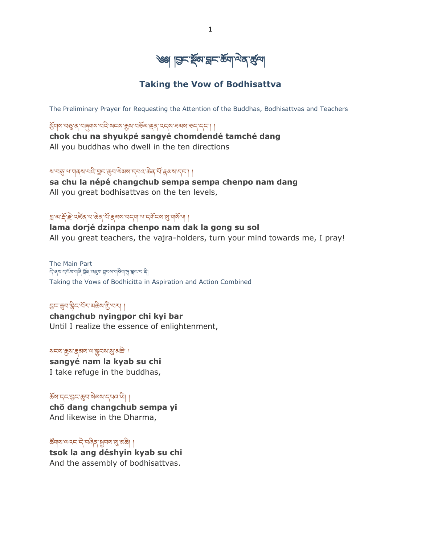

### **Taking the Vow of Bodhisattva**

The Preliminary Prayer for Requesting the Attention of the Buddhas, Bodhisattvas and Teachers

ཕྡོགས་བཅུ་ན་བཞུགས་པའི་སངས་རྒྱས་བཅྡོམ་ལྡན་འདས་ཐམས་ཅད་དང༌། ། **chok chu na shyukpé sangyé chomdendé tamché dang** All you buddhas who dwell in the ten directions

ষা বস্তু 'ঝ'বাৰ্ষা' বাৰ্ষা' বিশ্বে অৱ্যাতি কৰি বিশ্বে জন্ম কৰি বিশ্বে স্থাপন কৰি ।

**sa chu la népé changchub sempa sempa chenpo nam dang** All you great bodhisattvas on the ten levels,

### त्र अॅम्हॅम्दे प्रदिव या केव संस्कृष्य प्राप्त वा पर मुस्य संख्या

**lama dorjé dzinpa chenpo nam dak la gong su sol** All you great teachers, the vajra-holders, turn your mind towards me, I pray!

The Main Part ने दब्धम्ह्या अलि अन्य कार्युं के स्वयं कार्युं स्थानि Taking the Vows of Bodhicitta in Aspiration and Action Combined

### བྱང་ཆུབ་སིང་པྡོར་མཆིས་ཀི་བར། །

**changchub nyingpor chi kyi bar** Until I realize the essence of enlightenment,

#### སངས་རྒྱས་རྣམས་ལ་སྐྱབས་སུ་མཆི། །

**sangyé nam la kyab su chi** I take refuge in the buddhas,

### ཆྡོས་དང་བྱང་ཆུབ་སེམས་དཔའ་ཡི། །

**chö dang changchub sempa yi** And likewise in the Dharma,

#### ཚོགས་ལའང་དེ་བཞིན་སྐྱབས་སུ་མཆི། །

**tsok la ang déshyin kyab su chi** And the assembly of bodhisattvas.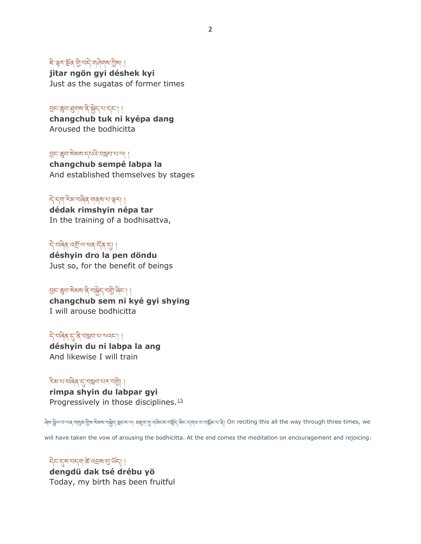# ৳'ৠर'ऄॖ(अन्नेजनीजना)

**jitar ngön gyi déshek kyi** Just as the sugatas of former times

## བྱང་ཆུབ་ཐུགས་ནི་སྐྱེད་པ་དང༌། །

**changchub tuk ni kyépa dang** Aroused the bodhicitta

### བྱང་ཆུབ་སེམས་དཔའི་བསླབ་པ་ལ། །

**changchub sempé labpa la** And established themselves by stages

### དེ་དག་རིམ་བཞིན་གནས་པ་ལྟར། །

**dédak rimshyin népa tar** In the training of a bodhisattva,

### देखबैबादबॅम्बाल के बाह्य **déshyin dro la pen döndu**

Just so, for the benefit of beings

# བྱང་ཆུབ་སེམས་ནི་བསྐྱེད་བགི་ཞིང༌། །

**changchub sem ni kyé gyi shying** I will arouse bodhicitta

## དེ་བཞིན་དུ་ནི་བསླབ་པ་ལའང༌། །

**déshyin du ni labpa la ang** And likewise I will train

### ২িৰামানৰীৰ দেখ্যস্থাৰ মানাই

**rimpa shyin du labpar gyi** Progressively in those disciplines.<sup>[15](https://www.lotsawahouse.org/tibetan-masters/chatral-rinpoche/bodhisattva-vow-patrul-tradition#ref15)</sup>

َٱلْإِيَّةُ क्षिण्ड्ये अध्यापश्च के बार के अध्यापश्च करने के अन्य अस्था अध्यापर के अन्य संभव पर साथ पर साथ कर we

will have taken the vow of arousing the bodhicitta. At the end comes the meditation on encouragement and rejoicing:

### དེང་དུས་བདག་ཚེ་འབྲས་བུ་ཡྡོད། ། **dengdü dak tsé drébu yö** Today, my birth has been fruitful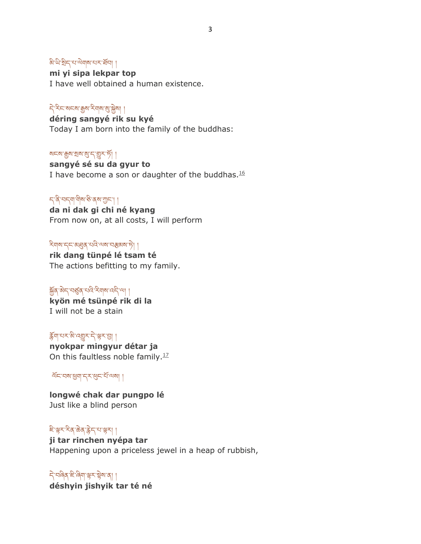### ৯' ਘੇ' থ্রेন' থ' <sup>ন</sup>মামাৰ অসমী

**mi yi sipa lekpar top** I have well obtained a human existence.

## དེ་རིང་སངས་རྒྱས་རིགས་སུ་སྐྱེས། །

**déring sangyé rik su kyé** Today I am born into the family of the buddhas:

#### லாதல் ஜன்ஜி ।

**sangyé sé su da gyur to** I have become a son or daughter of the buddhas. $16$ 

### ད་ནི་བདག་གིས་ཅི་ནས་ཀང༌། །

**da ni dak gi chi né kyang** From now on, at all costs, I will perform

### ২বান'দে'মধ্ৰুৰ 'থৰ''অৰ''নস্কৰুৰ 'দী

**rik dang tünpé lé tsam té** The actions befitting to my family.

### জুৰ অন অৰ্জুৰ বান কৰা আৰু বি

**kyön mé tsünpé rik di la** I will not be a stain

### རྡོག་པར་མི་འགྱུར་དེ་ལྟར་བྱ། །

**nyokpar mingyur détar ja** On this faultless noble family. $17$ 

ལྡོང་བས་ཕག་དར་ཕུང་པྡོ་ལས། །

**longwé chak dar pungpo lé** Just like a blind person

## ཇི་ལྟར་རིན་ཆེན་རེད་པ་ལྟར། །

**ji tar rinchen nyépa tar** Happening upon a priceless jewel in a heap of rubbish,

དེ་བཞིན་ཇི་ཞིག་ལྟར་སྟེས་ན། ། **déshyin jishyik tar té né**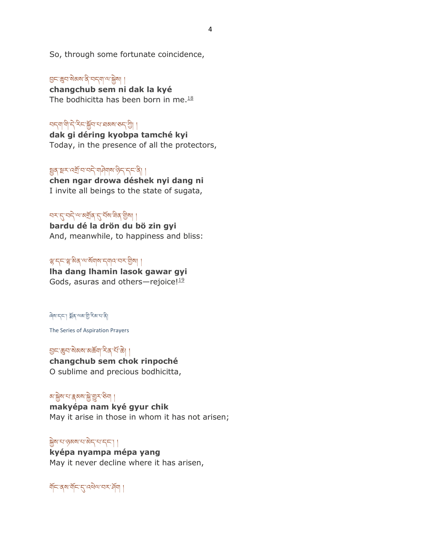So, through some fortunate coincidence,

# བྱང་ཆུབ་སེམས་ནི་བདག་ལ་སྐྱེས། །

**changchub sem ni dak la kyé** The bodhicitta has been born in me. $18$ 

### ঘন্মাণীদ্বিস্নিজুৰামাৰমৰাতন্ত্ৰী।

**dak gi déring kyobpa tamché kyi** Today, in the presence of all the protectors,

# જીવ રૂમ પર્યો નવા માંગી માંગી માંગી કે ત્યારે તે કે ત્યારે ત્યારે કે ત્યારે ત્યારે ત્યારે ત્યારે ત્યારે ત્યારે

**chen ngar drowa déshek nyi dang ni** I invite all beings to the state of sugata,

# ঘমান্নাৰাজ্যৰ বিদ্যালয়ৰ বিদ্যা

**bardu dé la drön du bö zin gyi** And, meanwhile, to happiness and bliss:

### ལྷ་དང་ལྷ་མིན་ལ་སྡོགས་དགའ་བར་གིས། །

**lha dang lhamin lasok gawar gyi** Gods, asuras and others-rejoice! $119$  $119$ 

#### ཞེས་དང༌། སྡོན་ལམ་གི་རིམ་པ་ནི།

The Series of Aspiration Prayers

བྱང་ཆུབ་སེམས་མཆྡོག་རིན་པྡོ་ཆེ། ། **changchub sem chok rinpoché** O sublime and precious bodhicitta,

# <u>য়৾ৠৢ</u>য়ৼ৸ৼঀৼ৻ৼ৸ৼ৻ৼ৸

**makyépa nam kyé gyur chik** May it arise in those in whom it has not arisen;

### སྐྱེས་པ་ཉམས་པ་མེད་པ་དང༌། །

**kyépa nyampa mépa yang** May it never decline where it has arisen,

য়ঁচাৰ্মা যঁচাৰ্ট বিভাগৰ কৰি ।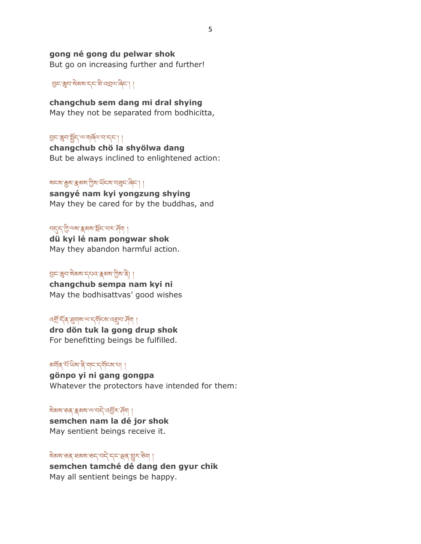#### **gong né gong du pelwar shok**

But go on increasing further and further!

བྱང་ཆུབ་སེམས་དང་མི་འབྲལ་ཞིང༌། །

**changchub sem dang mi dral shying** May they not be separated from bodhicitta,

#### བྱང་ཆུབ་སྤྱྡོད་ལ་གཞྡོལ་བ་དང༌། །

**changchub chö la shyölwa dang** But be always inclined to enlightened action:

### སངས་རྒྱས་རྣམས་ཀིས་ཡྡོངས་བཟུང་ཞིང༌། །

**sangyé nam kyi yongzung shying** May they be cared for by the buddhas, and

### ন্দ্ৰেশ্মী'ৰ্মম'ক্কৰম'ৰ্ষ্টাৰ্শ ব্ৰহ্ম'ৰ্শ ।

**dü kyi lé nam pongwar shok** May they abandon harmful action.

### བྱང་ཆུབ་སེམས་དཔའ་རྣམས་ཀིས་ནི། །

**changchub sempa nam kyi ni** May the bodhisattvas' good wishes

### বর্ষ্রার্দ্বব্যম্বামান্দর্যার্দ্রার্মণ ব্রিমা ।

**dro dön tuk la gong drup shok** For benefitting beings be fulfilled.

# अर्षोव्<sup>.</sup>सॅ'धेषा'वे पान्'न्यॅन्बान्'।

**gönpo yi ni gang gongpa** Whatever the protectors have intended for them:

### སེམས་ཅན་རྣམས་ལ་བདེ་འབྱྡོར་ཤྡོག །

**semchen nam la dé jor shok** May sentient beings receive it.

### སེམས་ཅན་ཐམས་ཅད་བདེ་དང་ལྡན་གྱུར་ཅིག །

**semchen tamché dé dang den gyur chik** May all sentient beings be happy.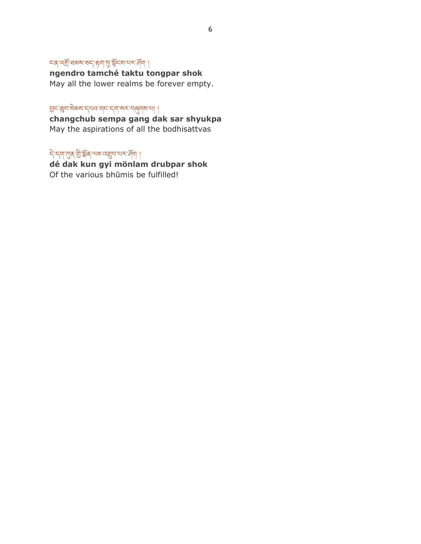# ८८८ देखाँ सबारा रूप है। स्थान के साथ प्राप्त का

**ngendro tamché taktu tongpar shok** May all the lower realms be forever empty.

བྱང་ཆུབ་སེམས་དཔའ་གང་དག་སར་བཞུགས་པ། །

**changchub sempa gang dak sar shyukpa** May the aspirations of all the bodhisattvas

ন্বি'ন্মা'শ্যুৰ'খ্ট্য'ষ্ক্ৰৰ্'শুৰু'বস্থাৰ'ব্দ্ৰ' মি

**dé dak kun gyi mönlam drubpar shok** Of the various bhūmis be fulfilled!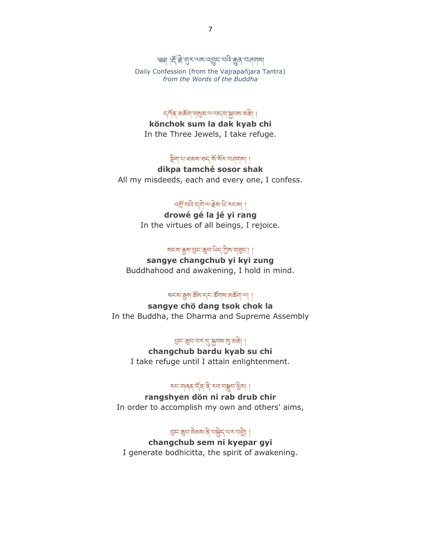্জ্ঞ। দ্দিউ' অুস' অৰাণ বহী দানুৱা এন বিভিন্ন Daily Confession (from the Vajrapañjara Tantra) *from the Words of the Buddha*

ন্দৰ্শৰ অৰ্ক্তবা বাৰ্মুৰ অসমৰ বিদ্যালয় কৰি ।

**könchok sum la dak kyab chi** In the Three Jewels, I take refuge.

ষ্ট্ৰ্মান'ঘৰমম'ৰুন্'মঁ'মঁহ'ন্মনমাৰী |

**dikpa tamché sosor shak** All my misdeeds, each and every one, I confess.

### འགྡོ་བའི་དགེ་ལ་རེས་ཡི་རངས། །

**drowé gé la jé yi rang** In the virtues of all beings, I rejoice.

### থনম'ক্সুম'গ্ৰন'ঙ্কুন'থিন'গ্ৰীম'শ্ৰন'। ।

**sangye changchub yi kyi zung** Buddhahood and awakening, I hold in mind.

#### ষ্মহা কুম'ৰ্ক্স' বৃহ'ৰ্ক্ট বাম' মৰ্ক্ট বা

**sangye chö dang tsok chok la** In the Buddha, the Dharma and Supreme Assembly

### བྱང་ཆུབ་བར་དུ་སྐྱབས་སུ་མཆི། །

**changchub bardu kyab su chi** I take refuge until I attain enlightenment.

# <u> रहणबुबार्ड्स्डिया ।</u>

**rangshyen dön ni rab drub chir** In order to accomplish my own and others' aims,

### བྱང་ཆུབ་སེམས་ནི་བསྐྱེད་པར་བགི། །

**changchub sem ni kyepar gyi** I generate bodhicitta, the spirit of awakening.